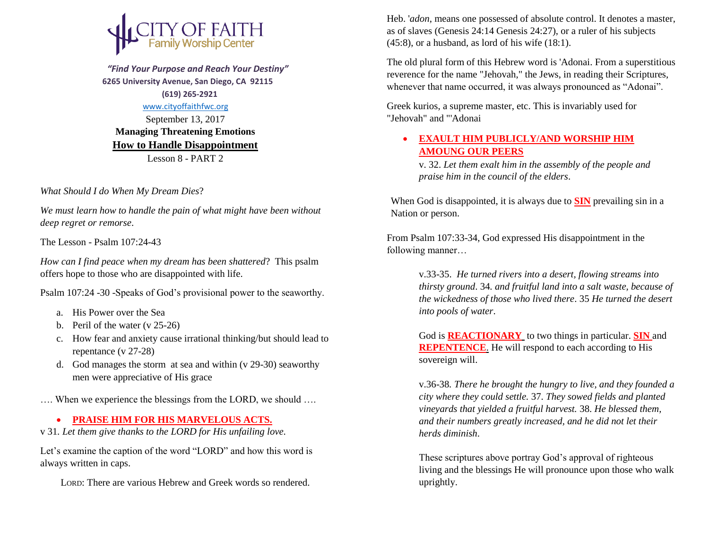

 *"Find Your Purpose and Reach Your Destiny"*  **6265 University Avenue, San Diego, CA 92115 (619) 265-2921**

## [www.cityoffaithfwc.org](http://www.cityoffaithfwc.org/)

September 13, 2017 **Managing Threatening Emotions How to Handle Disappointment** Lesson 8 - PART 2

*What Should I do When My Dream Dies*?

*We must learn how to handle the pain of what might have been without deep regret or remorse*.

The Lesson - Psalm 107:24-43

*How can I find peace when my dream has been shattered*? This psalm offers hope to those who are disappointed with life.

Psalm 107:24 -30 -Speaks of God's provisional power to the seaworthy.

- a. His Power over the Sea
- b. Peril of the water (v 25-26)
- c. How fear and anxiety cause irrational thinking/but should lead to repentance (v 27-28)
- d. God manages the storm at sea and within (v 29-30) seaworthy men were appreciative of His grace

…. When we experience the blessings from the LORD, we should ….

## **• PRAISE HIM FOR HIS MARVELOUS ACTS.**

v 31*. Let them give thanks to the LORD for His unfailing love.* 

Let's examine the caption of the word "LORD" and how this word is always written in caps.

LORD: There are various Hebrew and Greek words so rendered.

Heb. '*adon*, means one possessed of absolute control. It denotes a master, as of slaves (Genesis 24:14 Genesis 24:27), or a ruler of his subjects  $(45:8)$ , or a husband, as lord of his wife  $(18:1)$ .

The old plural form of this Hebrew word is 'Adonai. From a superstitious reverence for the name "Jehovah," the Jews, in reading their Scriptures, whenever that name occurred, it was always pronounced as "Adonai".

Greek kurios, a supreme master, etc. This is invariably used for "Jehovah" and "'Adonai

## **EXAULT HIM PUBLICLY/AND WORSHIP HIM AMOUNG OUR PEERS**

v. 32. *Let them exalt him in the assembly of the people and praise him in the council of the elders*.

When God is disappointed, it is always due to **SIN** prevailing sin in a Nation or person.

From Psalm 107:33-34, God expressed His disappointment in the following manner…

> v.33-35. *He turned rivers into a desert, flowing streams into thirsty ground*. 34. *and fruitful land into a salt waste, because of the wickedness of those who lived there*. 35 *He turned the desert into pools of water*.

God is **REACTIONARY** to two things in particular. **SIN** and **REPENTENCE**. He will respond to each according to His sovereign will.

v.36-38*. There he brought the hungry to live, and they founded a city where they could settle.* 37. *They sowed fields and planted vineyards that yielded a fruitful harvest.* 38. *He blessed them, and their numbers greatly increased, and he did not let their herds diminish*.

These scriptures above portray God's approval of righteous living and the blessings He will pronounce upon those who walk uprightly.